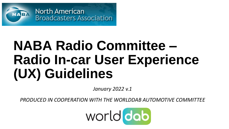

# **NABA Radio Committee – Radio In-car User Experience (UX) Guidelines**

*January 2022 v.1*

*PRODUCED IN COOPERATION WITH THE WORLDDAB AUTOMOTIVE COMMITTEE*

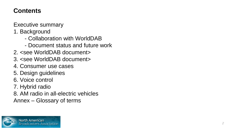# **Contents**

Executive summary

1. Background

- Collaboration with WorldDAB
- Document status and future work
- 2. <see WorldDAB document>
- 3. <see WorldDAB document>
- 4. Consumer use cases
- 5. Design guidelines
- 6. Voice control
- 7. Hybrid radio
- 8. AM radio in all -electric vehicles
- Annex Glossary of terms

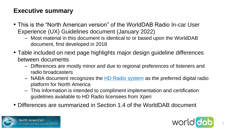# **Executive summary**

- This is the "North American version" of the WorldDAB Radio In-car User Experience (UX) Guidelines document (January 2022)
	- Most material in this document is identical to or based upon the WorldDAB document, first developed in 2018
- Table included on next page highlights major design guideline differences between documents
	- Differences are mostly minor and due to regional preferences of listeners and radio broadcasters
	- NABA document recognizes the [HD Radio system](https://hdradio.com/) as the preferred digital radio platform for North America
	- This information is intended to compliment implementation and certification guidelines available to HD Radio licensees from Xperi
- Differences are summarized in Section 1.4 of the WorldDAB document



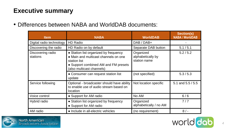# **Executive summary**

• Differences between NABA and WorldDAB documents:

| <b>Item</b>                   | <b>NABA</b>                                                                                                                                                        | <b>WorldDAB</b>                                | <b>Section(s)</b><br><b>NABA / WorldDAB</b> |
|-------------------------------|--------------------------------------------------------------------------------------------------------------------------------------------------------------------|------------------------------------------------|---------------------------------------------|
| Digital radio technology      | HD Radio                                                                                                                                                           | DAB / DAB+                                     |                                             |
| Discovering the radio         | HD Radio on by default                                                                                                                                             | Separate DAB button                            | 5.1 / 5.1                                   |
| Discovering radio<br>stations | • Station list organized by frequency<br>• Main and multicast channels on one<br>station list<br>• Support combined AM and FM presets<br>(also multicast channels) | Organized<br>alphabetically by<br>station name | 5.2/5.2                                     |
|                               | • Consumer can request station list<br>update                                                                                                                      | (not specified)                                | 5.3/5.3                                     |
| Service following             | Optional - broadcaster should have ability<br>to enable use of audio stream based on<br>location                                                                   | Not location specific                          | 5.1 and $5.5/5.5$                           |
| Voice control                 | • Support for AM radio                                                                                                                                             | No AM                                          | 6/6                                         |
| Hybrid radio                  | • Station list organized by frequency<br>• Support for AM radio                                                                                                    | Organized<br>alphabetically / no AM            | 7/7                                         |
| AM radio                      | • Include in all-electric vehicles                                                                                                                                 | (no requirement)                               | $8/-$                                       |



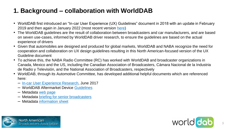# **1. Background – collaboration with WorldDAB**

- WorldDAB first introduced an "In-car User Experience (UX) Guidelines" document in 2018 with an update in February 2019 and then again in January 2022 (most recent version [here](https://www.worlddab.org/automotive/user-experience-guidelines))
- The WorldDAB guidelines are the result of collaboration between broadcasters and car manufacturers, and are based on seven use-cases, informed by WorldDAB driver research, to ensure the guidelines are based on the actual experience of drivers
- Given that automobiles are designed and produced for global markets, WorldDAB and NABA recognize the need for cooperation and collaboration on UX design guidelines resulting in this North American-focused version of the UX Guideline document
- To achieve this, the NABA Radio Committee (RC) has worked with WorldDAB and broadcaster organizations in Canada, Mexico and the US, including the Canadian Association of Broadcasters, Cámara Nacional de la Industria de Radio y Televisión, and the National Association of Broadcasters, respectively
- WorldDAB, through its Automotive Committee, has developed additional helpful documents which are referenced here:
	- [In-car User Experience Research,](https://www.worlddab.org/public_document/file/1244/UX_Research_Overview_FINAL_.pdf?1573670268) June 2017
	- WorldDAB Aftermarket Device [Guidelines](https://www.worlddab.org/public_document/file/1323/WorldDAB_Aftermarket_Device_Guidelines_Roberto_Moro.pdf?1593791061)
	- Metadata [web page](https://www.worlddab.org/automotive/metadata)
	- Metadata [briefing for senior broadcasters](https://youtu.be/PbhVmuc-qD8)
	- Metadata [information sheet](https://www.worlddab.org/system/news/documents/000/011/639/original/WorldDAB_-_Metadata_Information_Sheet_01.09.20.pdf?1598623915)





*5*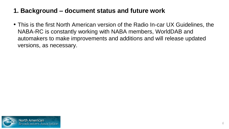# **1. Background – document status and future work**

• This is the first North American version of the Radio In-car UX Guidelines, the NABA-RC is constantly working with NABA members, WorldDAB and automakers to make improvements and additions and will release updated versions, as necessary.

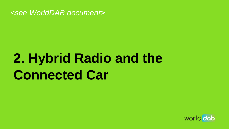

# **2. Hybrid Radio and the Connected Car**

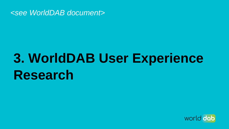

# **3. WorldDAB User Experience Research**

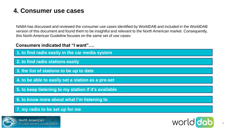## **4. Consumer use cases**

NABA has discussed and reviewed the consumer use cases identified by WorldDAB and included in the WorldDAB version of this document and found them to be insightful and relevant to the North American market. Consequently, this North American Guideline focuses on the same set of use cases:

## **Consumers indicated that "I want"….**

**1. to find radio easily in the car media system**

**2. to find radio stations easily**

**3. the list of stations to be up to date**

**4. to be able to easily set a station as a pre-set**

**5. to keep listening to my station if it's available**

**6. to know more about what I'm listening to**

## **7. my radio to be set up for me**



**North American Broadcasters Association** 

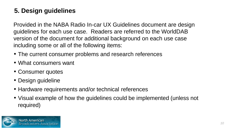# **5. Design guidelines**

Provided in the NABA Radio In-car UX Guidelines document are design guidelines for each use case. Readers are referred to the WorldDAB version of the document for additional background on each use case including some or all of the following items:

- The current consumer problems and research references
- What consumers want
- Consumer quotes
- Design guideline
- Hardware requirements and/or technical references
- Visual example of how the guidelines could be implemented (unless not required)

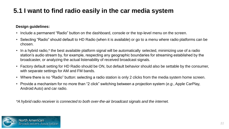# **5.1 I want to find radio easily in the car media system**

## **Design guidelines:**

- Include a permanent "Radio" button on the dashboard, console or the top-level menu on the screen.
- Selecting "Radio" should default to HD Radio (when it is available) or go to a menu where radio platforms can be chosen.
- In a hybrid radio,\* the best available platform signal will be automatically selected, minimizing use of a radio station's audio stream by, for example, respecting any geographic boundaries for streaming established by the broadcaster, or analyzing the actual listenability of received broadcast signals.
- Factory default setting for HD Radio should be ON, but default behavior should also be settable by the consumer, with separate settings for AM and FM bands.
- Where there is no "Radio" button: selecting a radio station is only 2 clicks from the media system home screen.
- Provide a mechanism for no more than "2 click" switching between a projection system (*e.g.*, Apple CarPlay, Android Auto) and car radio.

*\*A hybrid radio receiver is connected to both over-the-air broadcast signals and the internet.*

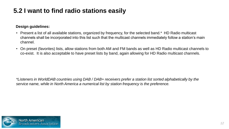# **5.2 I want to find radio stations easily**

## **Design guidelines:**

- Present a list of all available stations, organized by frequency, for the selected band.\* HD Radio multicast channels shall be incorporated into this list such that the multicast channels immediately follow a station's main channel.
- On preset (favorites) lists, allow stations from both AM and FM bands as well as HD Radio multicast channels to co-exist. It is also acceptable to have preset lists by band, again allowing for HD Radio multicast channels.

*\*Listeners in WorldDAB countries using DAB / DAB+ receivers prefer a station list sorted alphabetically by the service name, while in North America a numerical list by station frequency is the preference.*

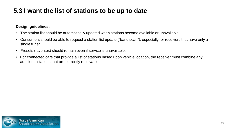# **5.3 I want the list of stations to be up to date**

- The station list should be automatically updated when stations become available or unavailable.
- Consumers should be able to request a station list update ("band scan"), especially for receivers that have only a single tuner.
- Presets (favorites) should remain even if service is unavailable.
- For connected cars that provide a list of stations based upon vehicle location, the receiver must combine any additional stations that are currently receivable.

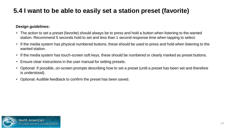# **5.4 I want to be able to easily set a station preset (favorite)**

- The action to set a preset (favorite) should always be to press and hold a button when listening to the wanted station. Recommend 5 seconds hold to set and less than 1 second response time when tapping to select.
- If the media system has physical numbered buttons, these should be used to press and hold when listening to the wanted station.
- If the media system has touch-screen soft keys, these should be numbered or clearly marked as preset buttons.
- Ensure clear instructions in the user manual for setting presets.
- Optional: If possible, on-screen prompts describing how to set a preset (until a preset has been set and therefore is understood).
- Optional: Audible feedback to confirm the preset has been saved.

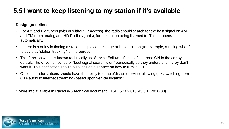# **5.5 I want to keep listening to my station if it's available**

## **Design guidelines:**

- For AM and FM tuners (with or without IP access), the radio should search for the best signal on AM and FM (both analog and HD Radio signals), for the station being listened to. This happens automatically.
- If there is a delay in finding a station, display a message or have an icon (for example, a rolling wheel) to say that "station tracking" is in progress.
- This function which is known technically as "Service Following/Linking" is turned ON in the car by default. The driver is notified of "best signal search is on" periodically so they understand if they don't want it. This notification should also include guidance on how to turn it OFF.
- Optional: radio stations should have the ability to enable/disable service following (*i.e.*, switching from OTA audio to internet streaming) based upon vehicle location.\*

\* More info available in RadioDNS technical document ETSI TS 102 818 V3.3.1 (2020-08).

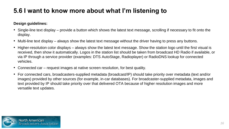# **5.6 I want to know more about what I'm listening to**

- Single-line text display provide a button which shows the latest text message, scrolling if necessary to fit onto the display.
- Multi-line text display always show the latest text message without the driver having to press any buttons.
- Higher-resolution color displays always show the latest text message. Show the station logo until the first visual is received, then show it automatically. Logos in the station list should be taken from broadcast HD Radio if available, or via IP through a service provider (examples: DTS AutoStage, Radioplayer) or RadioDNS lookup for connected vehicles.
- Connected car request images at native screen resolution, for best quality.
- For connected cars, broadcasters-supplied metadata (broadcast/IP) should take priority over metadata (text and/or images) provided by other sources (for example, in-car databases). For broadcaster-supplied metadata, images and text provided by IP should take priority over that delivered OTA because of higher resolution images and more versatile text updates.

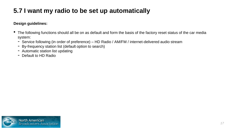# **5.7 I want my radio to be set up automatically**

- The following functions should all be on as default and form the basis of the factory reset status of the car media system:
	- Service following (in order of preference) HD Radio / AM/FM / internet-delivered audio stream
	- By-frequency station list (default option to search)
	- Automatic station list updating
	- Default to HD Radio

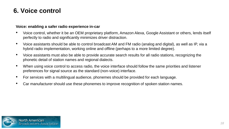## **6. Voice control**

### **Voice: enabling a safer radio experience in-car**

- Voice control, whether it be an OEM proprietary platform, Amazon Alexa, Google Assistant or others, lends itself perfectly to radio and significantly minimizes driver distraction.
- Voice assistants should be able to control broadcast AM and FM radio (analog and digital), as well as IP, via a hybrid radio implementation, working online and offline (perhaps to a more limited degree).
- Voice assistants must also be able to provide accurate search results for all radio stations, recognizing the phonetic detail of station names and regional dialects.
- When using voice control to access radio, the voice interface should follow the same priorities and listener preferences for signal source as the standard (non-voice) interface.
- For services with a multilingual audience, phonemes should be provided for each language.
- Car manufacturer should use these phonemes to improve recognition of spoken station names.

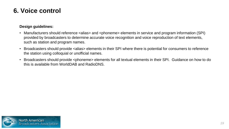## **6. Voice control**

- Manufacturers should reference <alias> and <phoneme> elements in service and program information (SPI) provided by broadcasters to determine accurate voice recognition and voice reproduction of text elements, such as station and program names.
- Broadcasters should provide <alias> elements in their SPI where there is potential for consumers to reference the station using colloquial or unofficial names.
- Broadcasters should provide <phoneme> elements for all textual elements in their SPI. Guidance on how to do this is available from WorldDAB and RadioDNS.

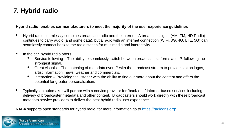# **7. Hybrid radio**

#### **Hybrid radio: enables car manufacturers to meet the majority of the user experience guidelines**

- Hybrid radio seamlessly combines broadcast radio and the internet. A broadcast signal (AM, FM, HD Radio) continues to carry audio (and some data), but a radio with an internet connection (WiFi, 3G, 4G, LTE, 5G) can seamlessly connect back to the radio station for multimedia and interactivity.
- In the car, hybrid radio offers:
	- Service following The ability to seamlessly switch between broadcast platforms and IP, following the strongest signal.
	- Great visuals The matching of metadata over IP with the broadcast stream to provide station logos, artist information, news, weather and commercials.
	- Interaction Providing the listener with the ability to find out more about the content and offers the potential for greater personalization.
- Typically, an automaker will partner with a service provider for "back-end" internet-based services including delivery of broadcaster metadata and other content. Broadcasters should work directly with these broadcast metadata service providers to deliver the best hybrid radio user experience.

NABA supports open standards for hybrid radio, for more information go to <https://radiodns.org/>.

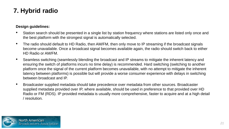# **7. Hybrid radio**

- Station search should be presented in a single list by station frequency where stations are listed only once and the best platform with the strongest signal is automatically selected.
- The radio should default to HD Radio, then AM/FM, then only move to IP streaming if the broadcast signals become unavailable. Once a broadcast signal becomes available again, the radio should switch back to either HD Radio or AM/FM.
- Seamless switching (seamlessly blending the broadcast and IP streams to mitigate the inherent latency and ensuring the switch of platforms incurs no time delay) is recommended. Hard switching (switching to another platform once the signal of the current platform becomes unavailable, with no attempt to mitigate the inherent latency between platforms) is possible but will provide a worse consumer experience with delays in switching between broadcast and IP.
- Broadcaster supplied metadata should take precedence over metadata from other sources. Broadcaster supplied metadata provided over IP, where available, should be used in preference to that provided over HD Radio or FM (RDS). IP provided metadata is usually more comprehensive, faster to acquire and at a high detail / resolution.

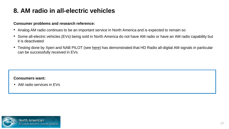# **8. AM radio in all-electric vehicles**

#### **Consumer problems and research reference:**

- Analog AM radio continues to be an important service in North America and is expected to remain so
- Some all-electric vehicles (EVs) being sold in North America do not have AM radio or have an AM radio capability but it is deactivated
- Testing done by Xperi and NAB PILOT (see [here\)](https://www.dropbox.com/s/gd10ek3cwqjotts/2021%20BEITC%20paper%20All-digital%20AM%20and%20Electric%20Vehicles.pdf?dl=0) has demonstrated that HD Radio all-digital AM signals in particular can be successfully received in EVs

#### **Consumers want:**

• AM radio services in EVs

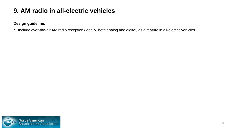# **9. AM radio in all-electric vehicles**

## **Design guideline:**

• Include over-the-air AM radio reception (ideally, both analog and digital) as a feature in all-electric vehicles.

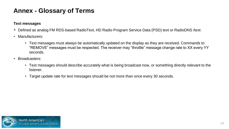## **Text messages**

- Defined as analog FM RDS-based RadioText, HD Radio Program Service Data (PSD) text or RadioDNS /text:
- Manufacturers:
	- Text messages must always be automatically updated on the display as they are received. Commands to "REMOVE" messages must be respected. The receiver may "throttle" message change rate to XX every YY seconds.
- Broadcasters:
	- Text messages should describe accurately what is being broadcast now, or something directly relevant to the listener.
	- Target update rate for text messages should be not more than once every 30 seconds.

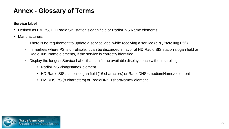## **Service label**

- Defined as FM PS, HD Radio SIS station slogan field or RadioDNS Name elements.
- Manufacturers:
	- There is no requirement to update a service label while receiving a service (*e.g.*, "scrolling PS")
	- In markets where PS is unreliable, it can be discarded in favor of HD Radio SIS station slogan field or RadioDNS Name elements, if the service is correctly identified
	- Display the longest Service Label that can fit the available display space without scrolling:
		- RadioDNS <longName> element
		- HD Radio SIS station slogan field (16 characters) or RadioDNS <mediumName> element
		- FM RDS PS (8 characters) or RadioDNS <shortName> element

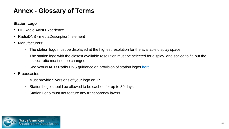## **Station Logo**

- HD Radio Artist Experience
- RadioDNS <mediaDescription> element
- Manufacturers:
	- The station logo must be displayed at the highest resolution for the available display space.
	- The station logo with the closest available resolution must be selected for display, and scaled to fit, but the aspect ratio must not be changed.
	- See WorldDAB / Radio DNS guidance on provision of station logos [here.](https://www.worlddab.org/public_document/file/1091/StationLogosDoc_FINAL_2019.pdf?1548678132)
- Broadcasters:
	- Must provide 5 versions of your logo on IP.
	- Station Logo should be allowed to be cached for up to 30 days.
	- Station Logo must not feature any transparency layers.

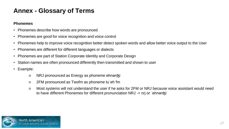## **Phonemes**

- Phonemes describe how words are pronounced
- Phonemes are good for voice recognition and voice control
- Phonemes help to improve voice recognition better detect spoken words and allow better voice output to the User
- Phonemes are different for different languages or dialects
- Phonemes are part of Station Corporate Identity and Corporate Design
- Station names are often pronounced differently then transmitted and shown to user
- Example:
	- NRJ pronounced as Energy as phoneme ehnərʤi
	- 2FM pronounced as Twofm as phoneme tuˈehˈfm
	- Most systems will not understand the user if he asks for 2FM or NRJ because voice assistant would need to have different Phonemes for different pronunciation NRJ -> nrj or ˈehnərʤi

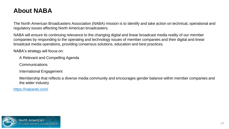# **About NABA**

The North American Broadcasters Association (NABA) mission is to identify and take action on technical, operational and regulatory issues affecting North American broadcasters.

NABA will ensure its continuing relevance to the changing digital and linear broadcast media reality of our member companies by responding to the operating and technology issues of member companies and their digital and linear broadcast media operations, providing consensus solutions, education and best practices.

NABA's strategy will focus on:

A Relevant and Compelling Agenda

Communications

International Engagement

Membership that reflects a diverse media community and encourages gender balance within member companies and the wider industry

<https://nabanet.com/>